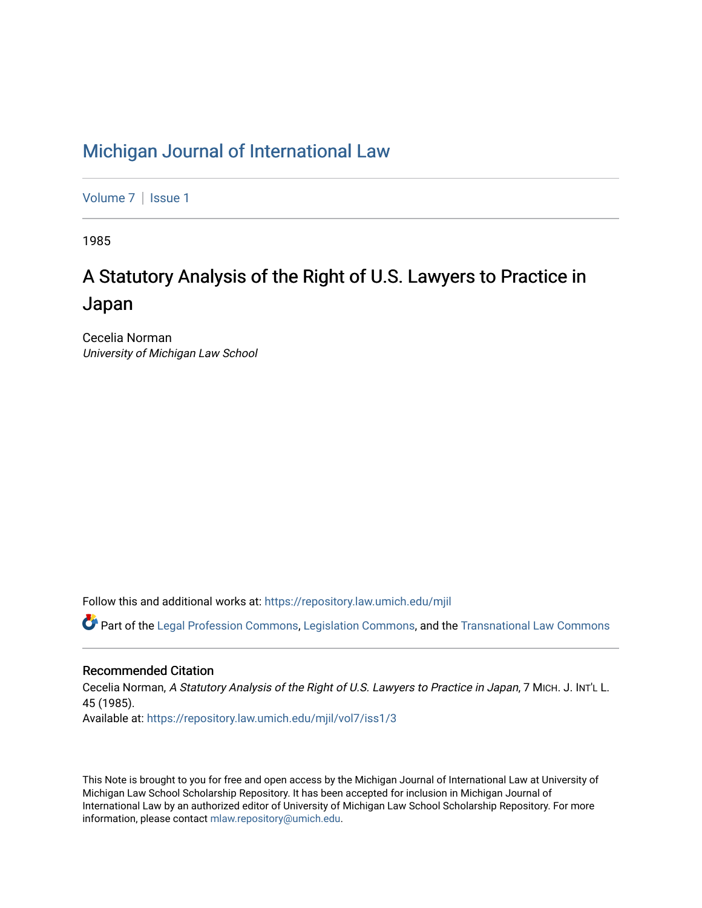## [Michigan Journal of International Law](https://repository.law.umich.edu/mjil)

[Volume 7](https://repository.law.umich.edu/mjil/vol7) | Issue 1

1985

# A Statutory Analysis of the Right of U.S. Lawyers to Practice in Japan

Cecelia Norman University of Michigan Law School

Follow this and additional works at: [https://repository.law.umich.edu/mjil](https://repository.law.umich.edu/mjil?utm_source=repository.law.umich.edu%2Fmjil%2Fvol7%2Fiss1%2F3&utm_medium=PDF&utm_campaign=PDFCoverPages) 

Part of the [Legal Profession Commons](http://network.bepress.com/hgg/discipline/1075?utm_source=repository.law.umich.edu%2Fmjil%2Fvol7%2Fiss1%2F3&utm_medium=PDF&utm_campaign=PDFCoverPages), [Legislation Commons](http://network.bepress.com/hgg/discipline/859?utm_source=repository.law.umich.edu%2Fmjil%2Fvol7%2Fiss1%2F3&utm_medium=PDF&utm_campaign=PDFCoverPages), and the [Transnational Law Commons](http://network.bepress.com/hgg/discipline/1123?utm_source=repository.law.umich.edu%2Fmjil%2Fvol7%2Fiss1%2F3&utm_medium=PDF&utm_campaign=PDFCoverPages)

## Recommended Citation

Cecelia Norman, A Statutory Analysis of the Right of U.S. Lawyers to Practice in Japan, 7 MICH. J. INT'L L. 45 (1985). Available at: [https://repository.law.umich.edu/mjil/vol7/iss1/3](https://repository.law.umich.edu/mjil/vol7/iss1/3?utm_source=repository.law.umich.edu%2Fmjil%2Fvol7%2Fiss1%2F3&utm_medium=PDF&utm_campaign=PDFCoverPages)

This Note is brought to you for free and open access by the Michigan Journal of International Law at University of Michigan Law School Scholarship Repository. It has been accepted for inclusion in Michigan Journal of International Law by an authorized editor of University of Michigan Law School Scholarship Repository. For more information, please contact [mlaw.repository@umich.edu](mailto:mlaw.repository@umich.edu).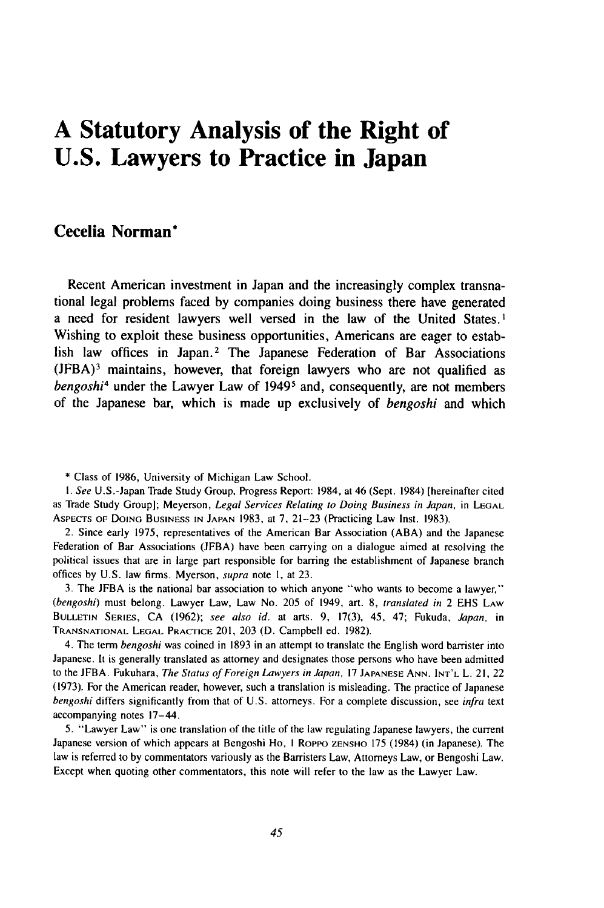## **A Statutory Analysis of the Right of U.S. Lawyers to Practice in Japan**

### **Cecelia Norman\***

Recent American investment in Japan and the increasingly complex transnational legal problems faced **by** companies doing business there have generated a need for resident lawyers well versed in the law of the United States. ' Wishing to exploit these business opportunities, Americans are eager to establish law offices in Japan.<sup>2</sup> The Japanese Federation of Bar Associations **(JFBA)3** maintains, however, that foreign lawyers who are not qualified as *bengoshi4* under the Lawyer Law of **19495** and, consequently, are not members of the Japanese bar, which is made up exclusively of *bengoshi* and which

3. The JFBA is the national bar association to which anyone "who wants to become a lawyer," (bengoshi) must belong. Lawyer Law, Law No. 205 of 1949, art. **8,** translated in 2 EHS LAW **BULLETIN SERIES, CA** (1962); see also id. at arts. 9, 17(3), 45, 47; Fukuda, Japan, in **TRANSNATIONAL LEGAL** PRACTICE 201, 203 (D. Campbell ed. 1982).

4. The term bengoshi was coined in 1893 in an attempt to translate the English word barrister into Japanese. It is generally translated as attorney and designates those persons who have been admitted to the JFBA. Fukuhara, The Status of Foreign Lawyers in Japan, 17 **JAPANESE ANN. INT'L** L. 21, 22 (1973). For the American reader, however, such a translation is misleading. The practice of Japanese bengoshi differs significantly from that of U.S. attorneys. For a complete discussion, see infra text accompanying notes 17-44.

5. "Lawyer Law" is one translation of the title of the law regulating Japanese lawyers, the current Japanese version of which appears at Bengoshi Ho, **I** RoPPo **ZENSHO** 175 (1984) (in Japanese). The law is referred to by commentators variously as the Barristers Law, Attorneys Law, or Bengoshi Law. Except when quoting other commentators, this note will refer to the law as the Lawyer Law.

<sup>\*</sup> Class of 1986, University of Michigan Law School.

*I. See* U.S.-Japan Trade Study Group, Progress Report: 1984, at 46 (Sept. 1984) [hereinafter cited as Trade Study Group]; Meyerson, *Legal Services* Relating to Doing Business in Japan, in **LEGAL** ASPECTS OF DOING **BUSINESS IN JAPAN** 1983, at 7, 21-23 (Practicing Law Inst. 1983).

<sup>2.</sup> Since early 1975, representatives of the American Bar Association (ABA) and the Japanese Federation of Bar Associations (JFBA) have been carrying on a dialogue aimed at resolving the political issues that are in large part responsible for barring the establishment of Japanese branch offices by U.S. law firms. Myerson, supra note **1,** at 23.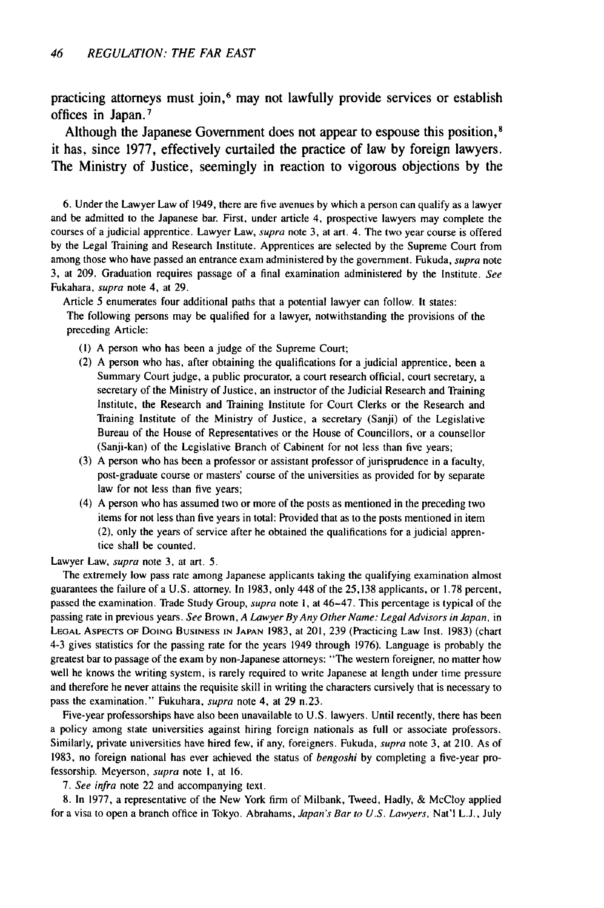practicing attorneys must join, 6 may not lawfully provide services or establish offices in Japan. <sup>7</sup>

Although the Japanese Government does not appear to espouse this position,<sup>8</sup> it has, since **1977,** effectively curtailed the practice of law **by** foreign lawyers. The Ministry of Justice, seemingly in reaction to vigorous objections **by** the

6. Under the Lawyer Law of 1949, there are five avenues by which a person can qualify as a lawyer and be admitted to the Japanese bar. First, under article 4, prospective lawyers may complete the courses of a judicial apprentice. Lawyer Law, supra note 3, at art. 4. The two year course is offered by the Legal Training and Research Institute. Apprentices are selected by the Supreme Court from among those who have passed an entrance exam administered by the government. Fukuda, supra note 3, at 209. Graduation requires passage of a final examination administered by the Institute. See Fukahara, supra note 4, at 29.

Article 5 enumerates four additional paths that a potential lawyer can follow. It states:

The following persons may be qualified for a lawyer, notwithstanding the provisions of the preceding Article:

- **(1)** A person who has been a judge of the Supreme Court;
- (2) A person who has, after obtaining the qualifications for a judicial apprentice, been a Summary Court judge, a public procurator, a court research official, court secretary, a secretary of the Ministry of Justice, an instructor of the Judicial Research and Training Institute, the Research and Training Institute for Court Clerks or the Research and Training Institute of the Ministry of Justice, a secretary (Sanji) of the Legislative Bureau of the House of Representatives or the House of Councillors, or a counsellor (Sanji-kan) of the Legislative Branch of Cabinent for not less than five years;
- (3) A person who has been a professor or assistant professor of jurisprudence in a faculty, post-graduate course or masters' course of the universities as provided for by separate law for not less than five years;
- (4) A person who has assumed two or more of the posts as mentioned in the preceding two items for not less than five years in total: Provided that as to the posts mentioned in item (2), only the years of service after he obtained the qualifications for a judicial apprentice shall be counted.

Lawyer Law, supra note 3, at art. 5.

The extremely low pass rate among Japanese applicants taking the qualifying examination almost guarantees the failure of a U.S. attorney. In 1983, only 448 of the 25,138 applicants, or 1.78 percent, passed the examination. Trade Study Group, supra note **1,** at 46-47. This percentage is typical of the passing rate in previous years. See Brown, A Lawyer *By* Any Other Name: Legal Advisors in Japan, in **LEGAL** ASPECTS OF DOING BUSINESS **IN JAPAN** 1983, at 201, 239 (Practicing Law Inst. 1983) (chart 4-3 gives statistics for the passing rate for the years 1949 through 1976). Language is probably the greatest bar to passage of the exam by non-Japanese attorneys: "The western foreigner, no matter how well he knows the writing system, is rarely required to write Japanese at length under time pressure and therefore he never attains the requisite skill in writing the characters cursively that is necessary to pass the examination." Fukuhara, supra note 4, at 29 n.23.

Five-year professorships have also been unavailable to U.S. lawyers. Until recently, there has been a policy among state universities against hiring foreign nationals as full or associate professors. Similarly, private universities have hired few, if any, foreigners. Fukuda, supra note **3,** at 210. As of 1983, no foreign national has ever achieved the status of bengoshi by completing a five-year professorship. Meyerson, supra note I, at 16.

*7.* See infra note 22 and accompanying text.

8. In 1977, a representative of the New York firm of Milbank, Tweed, Hadly, & McCloy applied for a visa to open a branch office in Tokyo. Abrahams, Japan's Bar *to U.S. Lawyers,* Nat'l **L.J.,** July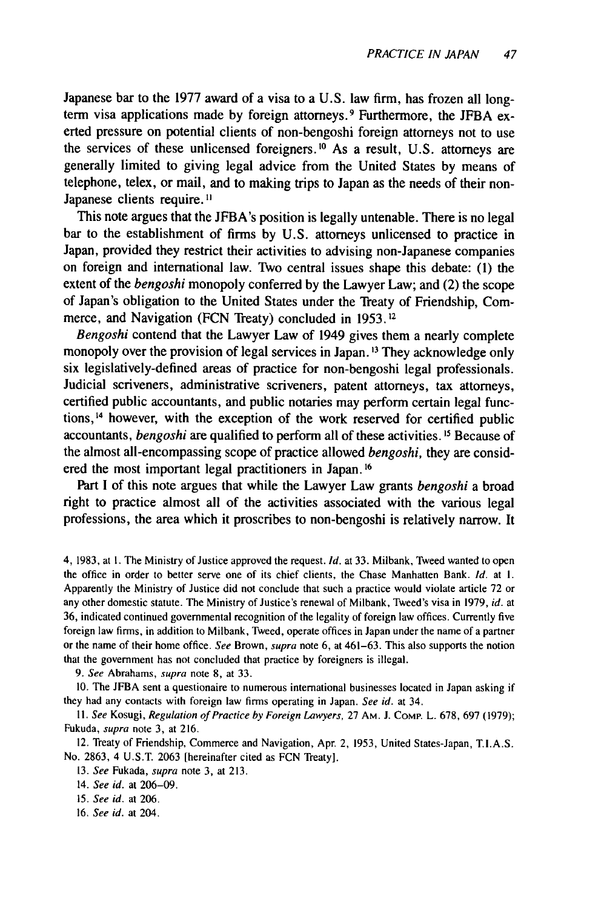Japanese bar to the 1977 award of a visa to a U.S. law firm, has frozen all longterm visa applications made by foreign attorneys. 9 Furthermore, the JFBA exerted pressure on potential clients of non-bengoshi foreign attorneys not to use the services of these unlicensed foreigners.<sup>10</sup> As a result, U.S. attorneys are generally limited to giving legal advice from the United States by means of telephone, telex, or mail, and to making trips to Japan as the needs of their non-Japanese clients require.<sup>11</sup>

This note argues that the JFBA's position is legally untenable. There is no legal bar to the establishment of firms by U.S. attorneys unlicensed to practice in Japan, provided they restrict their activities to advising non-Japanese companies on foreign and international law. Two central issues shape this debate: (1) the extent of the *bengoshi* monopoly conferred by the Lawyer Law; and (2) the scope of Japan's obligation to the United States under the Treaty of Friendship, Commerce, and Navigation (FCN Treaty) concluded in 1953.<sup>12</sup>

*Bengoshi* contend that the Lawyer Law of 1949 gives them a nearly complete monopoly over the provision of legal services in Japan.<sup>13</sup> They acknowledge only six legislatively-defined areas of practice for non-bengoshi legal professionals. Judicial scriveners, administrative scriveners, patent attorneys, tax attorneys, certified public accountants, and public notaries may perform certain legal functions,<sup>14</sup> however, with the exception of the work reserved for certified public accountants, *bengoshi* are qualified to perform all of these activities. **' <sup>5</sup>**Because of the almost all-encompassing scope of practice allowed *bengoshi,* they are considered the most important legal practitioners in Japan. **' 6**

Part I of this note argues that while the Lawyer Law grants *bengoshi* a broad right to practice almost all of the activities associated with the various legal professions, the area which it proscribes to non-bengoshi is relatively narrow. It

4, 1983, at **1.** The Ministry of Justice approved the request. *Id.* at 33. Milbank, Tweed wanted to open the office in order to better serve one of its chief clients, the Chase Manhatten Bank. *Id.* at **1.** Apparently the Ministry of Justice did not conclude that such a practice would violate article 72 or any other domestic statute. The Ministry of Justice's renewal of Milbank, Tweed's visa in 1979, *id.* at 36, indicated continued governmental recognition of the legality of foreign law offices. Currently five foreign law firms, in addition to Milbank, Tweed, operate offices in Japan under the name of a partner or the name of their home office. *See* Brown, supra note 6, at 461-63. This also supports the notion that the government has not concluded that practice by foreigners is illegal.

*9.* See Abrahams, supra note 8, at 33.

10. The JFBA sent a questionaire to numerous international businesses located in Japan asking if they had any contacts with foreign law firms operating in Japan. *See id.* at 34.

**I1.** *See* Kosugi, *Regulation of Practice by Foreign Lawyers,* 27 AM. **J.** COMP. L. 678, 697 (1979); Fukuda, *supra* note 3, at 216.

12. Treaty of Friendship, Commerce and Navigation, Apr. 2, 1953, United States-Japan, T.I.A.S. No. 2863, 4 U.S.T. 2063 [hereinafter cited as FCN Treaty].

13. *See* Fukada, supra note 3, at 213.

14. See id. at 206-09.

15. See id. at 206.

16. See id. at 204.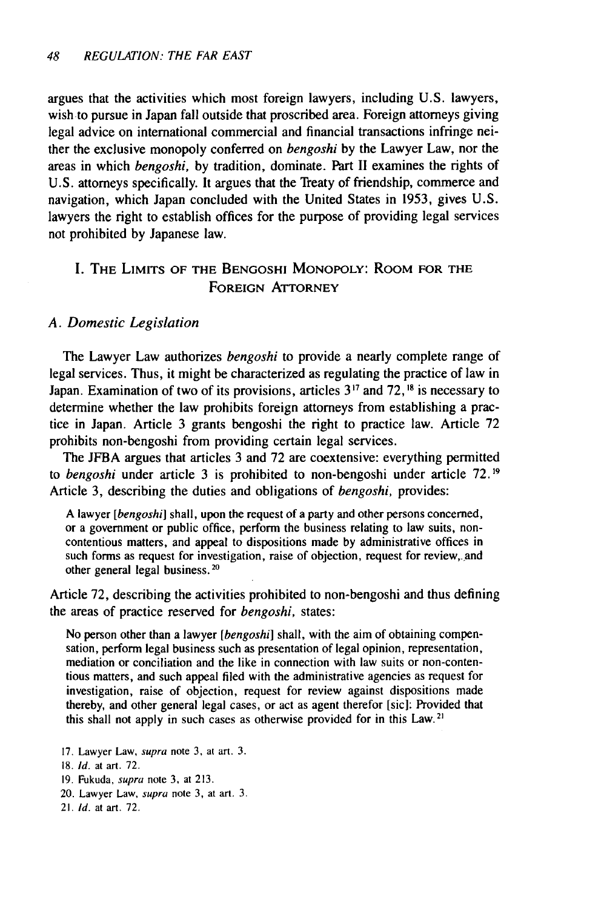argues that the activities which most foreign lawyers, including U.S. lawyers, wish to pursue in Japan fall outside that proscribed area. Foreign attorneys giving legal advice on international commercial and financial transactions infringe neither the exclusive monopoly conferred on *bengoshi* by the Lawyer Law, nor the areas in which *bengoshi,* by tradition, dominate. Part II examines the rights of U.S. attorneys specifically. It argues that the Treaty of friendship, commerce and navigation, which Japan concluded with the United States in 1953, gives U.S. lawyers the right to establish offices for the purpose of providing legal services not prohibited by Japanese law.

### I. THE LIMITS OF **THE BENGOSHI** MONOPOLY: ROOM FOR **THE FOREIGN** ATTORNEY

#### *A. Domestic Legislation*

The Lawyer Law authorizes *bengoshi* to provide a nearly complete range of legal services. Thus, it might be characterized as regulating the practice of law in Japan. Examination of two of its provisions, articles 3 **"** and 72, **18** is necessary to determine whether the law prohibits foreign attorneys from establishing a practice in Japan. Article 3 grants bengoshi the right to practice law. Article 72 prohibits non-bengoshi from providing certain legal services.

The JFBA argues that articles 3 and 72 are coextensive: everything permitted to *bengoshi* under article 3 is prohibited to non-bengoshi under article 72. **19** Article 3, describing the duties and obligations of *bengoshi,* provides:

A lawyer *[bengoshi]* shall, upon the request of a party and other persons concerned, or a government or public office, perform the business relating to law suits, noncontentious matters, and appeal to dispositions made by administrative offices in such forms as request for investigation, raise of objection, request for review,- and other general legal business.<sup>20</sup>

Article 72, describing the activities prohibited to non-bengoshi and thus defining the areas of practice reserved for *bengoshi,* states:

No person other than a lawyer *[bengoshi]* shall, with the aim of obtaining compensation, perform legal business such as presentation of legal opinion, representation, mediation or conciliation and the like in connection with law suits or non-contentious matters, and such appeal filed with the administrative agencies as request for investigation, raise of objection, request for review against dispositions made thereby, and other general legal cases, or act as agent therefor [sic]: Provided that this shall not apply in such cases as otherwise provided for in this Law.<sup>21</sup>

- 17. Lawyer Law, supra note 3, at art. 3.
- 18. Id. at art. 72.
- 19. Fukuda, supra note **3,** at 213.
- 20. Lawyer Law, supra note **3,** at art. **3.**
- 21. Id. at art. 72.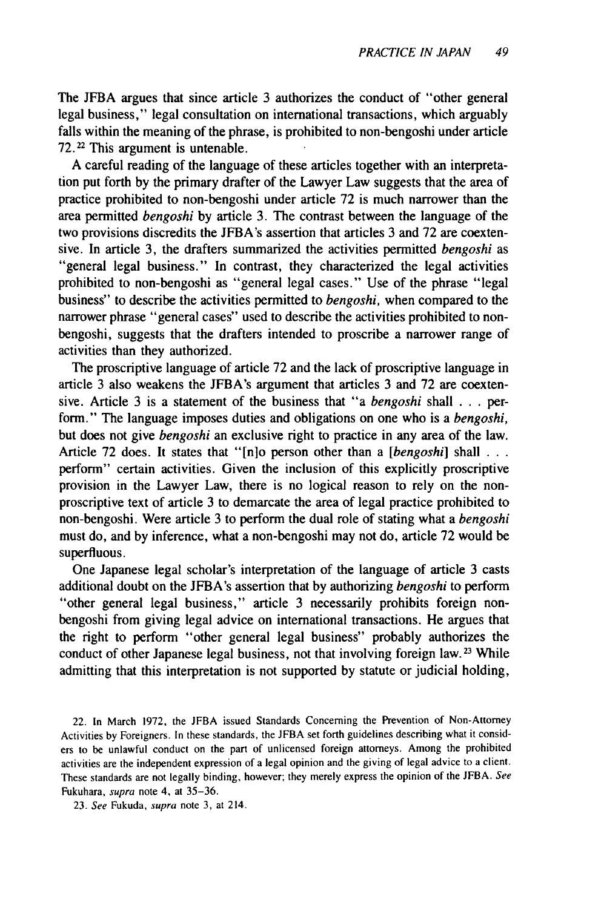The JFBA argues that since article 3 authorizes the conduct of "other general legal business," legal consultation on international transactions, which arguably falls within the meaning of the phrase, is prohibited to non-bengoshi under article 72.22 This argument is untenable.

A careful reading of the language of these articles together with an interpretation put forth by the primary drafter of the Lawyer Law suggests that the area of practice prohibited to non-bengoshi under article 72 is much narrower than the area permitted *bengoshi* by article 3. The contrast between the language of the two provisions discredits the JFBA's assertion that articles 3 and 72 are coextensive. In article 3, the drafters summarized the activities permitted *bengoshi* as "general legal business." In contrast, they characterized the legal activities prohibited to non-bengoshi as "general legal cases." Use of the phrase "legal business" to describe the activities permitted to *bengoshi,* when compared to the narrower phrase "general cases" used to describe the activities prohibited to nonbengoshi, suggests that the drafters intended to proscribe a narrower range of activities than they authorized.

The proscriptive language of article 72 and the lack of proscriptive language in article 3 also weakens the JFBA's argument that articles 3 and 72 are coextensive. Article 3 is a statement of the business that "a *bengoshi* shall . . . perform." The language imposes duties and obligations on one who is a *bengoshi,* but does not give *bengoshi* an exclusive right to practice in any area of the law. Article 72 does. It states that "[n]o person other than a *[bengoshi]* shall **. . .** perform" certain activities. Given the inclusion of this explicitly proscriptive provision in the Lawyer Law, there is no logical reason to rely on the nonproscriptive text of article 3 to demarcate the area of legal practice prohibited to non-bengoshi. Were article 3 to perform the dual role of stating what a *bengoshi* must do, and by inference, what a non-bengoshi may not do, article 72 would be superfluous.

One Japanese legal scholar's interpretation of the language of article 3 casts additional doubt on the JFBA's assertion that by authorizing *bengoshi* to perform "other general legal business," article 3 necessarily prohibits foreign nonbengoshi from giving legal advice on international transactions. He argues that the right to perform "other general legal business" probably authorizes the conduct of other Japanese legal business, not that involving foreign law.<sup>23</sup> While admitting that this interpretation is not supported by statute or judicial holding,

22. In March 1972, the JFBA issued Standards Concerning the Prevention of Non-Attorney Activities by Foreigners. In these standards, the JFBA set forth guidelines describing what it considers to be unlawful conduct on the part of unlicensed foreign attorneys. Among the prohibited activities are the independent expression of a legal opinion and the giving of legal advice to a client. These standards are not legally binding, however; they merely express the opinion of the JFBA. See Fukuhara, supra note 4, at 35-36.

23. See Fukuda, supra note 3, at 214.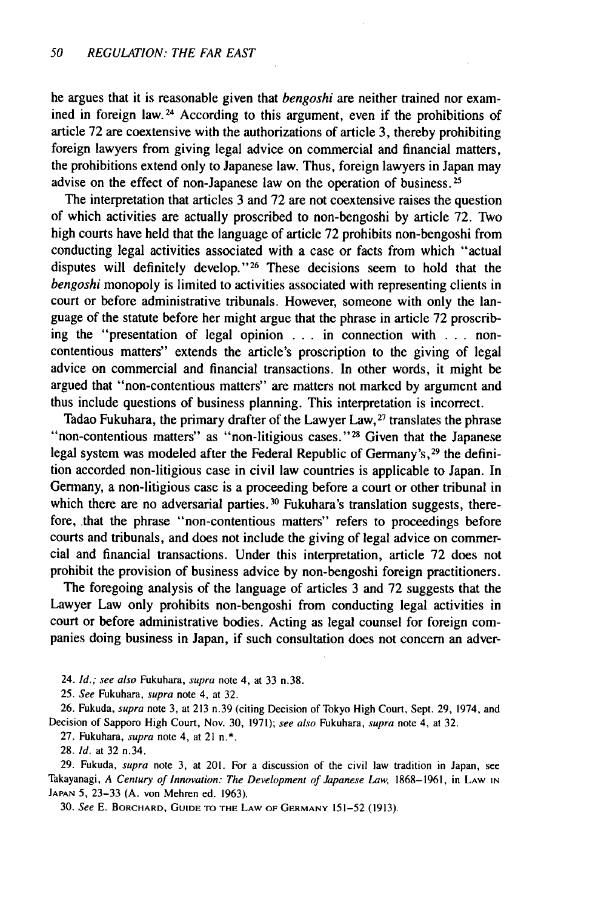he argues that it is reasonable given that *bengoshi* are neither trained nor examined in foreign law. 24 According to this argument, even if the prohibitions of article 72 are coextensive with the authorizations of article 3, thereby prohibiting foreign lawyers from giving legal advice on commercial and financial matters, the prohibitions extend only to Japanese law. Thus, foreign lawyers in Japan may advise on the effect of non-Japanese law on the operation of business.<sup>25</sup>

The interpretation that articles 3 and 72 are not coextensive raises the question of which activities are actually proscribed to non-bengoshi by article 72. Two high courts have held that the language of article 72 prohibits non-bengoshi from conducting legal activities associated with a case or facts from which "actual disputes will definitely develop."<sup>26</sup> These decisions seem to hold that the *bengoshi* monopoly is limited to activities associated with representing clients in court or before administrative tribunals. However, someone with only the language of the statute before her might argue that the phrase in article 72 proscribing the "presentation of legal opinion ... in connection with . **.** . noncontentious matters" extends the article's proscription to the giving of legal advice on commercial and financial transactions. In other words, it might be argued that "non-contentious matters" are matters not marked by argument and thus include questions of business planning. This interpretation is incorrect.

Tadao Fukuhara, the primary drafter of the Lawyer Law,  $27$  translates the phrase "non-contentious matters" as "non-litigious cases."  $28$  Given that the Japanese legal system was modeled after the Federal Republic of Germany's, <sup>29</sup> the definition accorded non-litigious case in civil law countries is applicable to Japan. In Germany, a non-litigious case is a proceeding before a court or other tribunal in which there are no adversarial parties.<sup>30</sup> Fukuhara's translation suggests, therefore, that the phrase "non-contentious matters" refers to proceedings before courts and tribunals, and does not include the giving of legal advice on commercial and financial transactions. Under this interpretation, article 72 does not prohibit the provision of business advice by non-bengoshi foreign practitioners.

The foregoing analysis of the language of articles 3 and 72 suggests that the Lawyer Law only prohibits non-bengoshi from conducting legal activities in court or before administrative bodies. Acting as legal counsel for foreign companies doing business in Japan, if such consultation does not concern an adver-

24. *ld.;* see also Fukuhara, supra note 4, at 33 n.38.

25. See Fukuhara, supra note 4, at 32.

26. Fukuda, supra note 3, at 213 n.39 (citing Decision of Tokyo High Court, Sept. 29, 1974, and Decision of Sapporo High Court, Nov. 30, 1971); see also Fukuhara, supra note 4, at 32.

27. Fukuhara, *supra* note 4, at 21 n.\*.

28. **Id.** at 32 n.34.

29. Fukuda, supra note 3, at 201. For a discussion of the civil law tradition in Japan, see Takayanagi, A Century of *Innovation:* The Development of Japanese Law, 1868-1961, in LAW IN **JAPAN** 5, 23-33 (A. von Mehren ed. 1963).

30. See **E.** BORCHARD, **GUIDE TO THE** LAW **OF** GERMANY 151-52 (1913).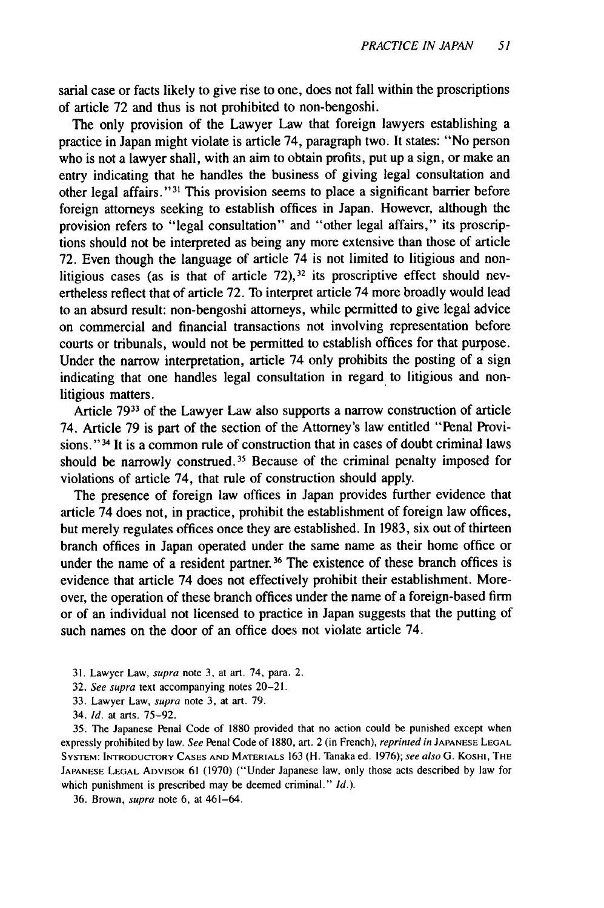sarial case or facts likely to give rise to one, does not fall within the proscriptions of article 72 and thus is not prohibited to non-bengoshi.

The only provision of the Lawyer Law that foreign lawyers establishing a practice in Japan might violate is article 74, paragraph two. It states: "No person who is not a lawyer shall, with an aim to obtain profits, put up a sign, or make an entry indicating that he handles the business of giving legal consultation and other legal affairs." 31 This provision seems to place a significant barrier before foreign attorneys seeking to establish offices in Japan. However, although the provision refers to "legal consultation" and "other legal affairs," its proscriptions should not be interpreted as being any more extensive than those of article 72. Even though the language of article 74 is not limited to litigious and nonlitigious cases (as is that of article  $72$ ),<sup>32</sup> its proscriptive effect should nevertheless reflect that of article 72. To interpret article 74 more broadly would lead to an absurd result: non-bengoshi attorneys, while permitted to give legal advice on commercial and financial transactions not involving representation before courts or tribunals, would not be permitted to establish offices for that purpose. Under the narrow interpretation, article 74 only prohibits the posting of a sign indicating that one handles legal consultation in regard to litigious and nonlitigious matters.

Article 7933 of the Lawyer Law also supports a narrow construction of article 74. Article 79 is part of the section of the Attorney's law entitled "Penal Provisions." **34** It is a common rule of construction that in cases of doubt criminal laws should be narrowly construed. 35 Because of the criminal penalty imposed for violations of article 74, that rule of construction should apply.

The presence of foreign law offices in Japan provides further evidence that article 74 does not, in practice, prohibit the establishment of foreign law offices, but merely regulates offices once they are established. In 1983, six out of thirteen branch offices in Japan operated under the same name as their home office or under the name of a resident partner.<sup>36</sup> The existence of these branch offices is evidence that article 74 does not effectively prohibit their establishment. Moreover, the operation of these branch offices under the name of a foreign-based firm or of an individual not licensed to practice in Japan suggests that the putting of such names on the door of an office does not violate article 74.

- 31. Lawyer Law, *supra* note 3, at art. 74, para. 2.
- 32. *See supra* text accompanying notes 20-21.
- 33. Lawyer Law, *supra* note **3,** at art. 79.
- 34. Id. at arts. 75-92.

35. The Japanese Penal Code of 1880 provided that no action could be punished except when expressly prohibited by law. *See* Penal Code of 1880, art. 2 (in French), *reprinted in* **JAPANESE LEGAL** SYSTEM: INTRODUCTORY **CASES AND** MATERIALS 163 (H. Tanaka ed. 1976); *see* also G. KoSHI, THE **JAPANESE LEGAL** ADVISOR 61 (1970) ("Under Japanese law, only those acts described by law for which punishment is prescribed may be deemed criminal." *Id.).*

36. Brown, *supra* note 6, at 461-64.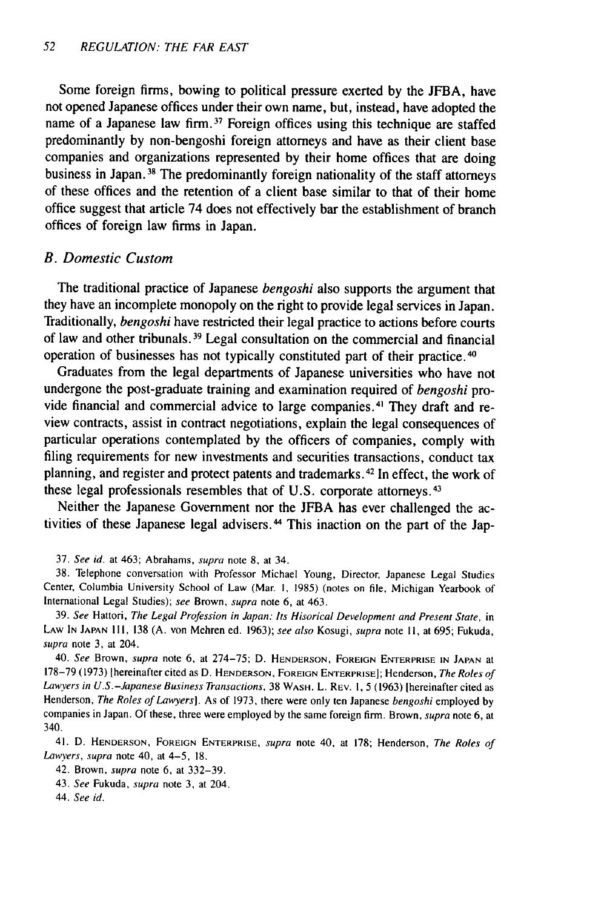Some foreign firms, bowing to political pressure exerted by the JFBA, have not opened Japanese offices under their own name, but, instead, have adopted the name of a Japanese law firm.<sup>37</sup> Foreign offices using this technique are staffed predominantly by non-bengoshi foreign attorneys and have as their client base companies and organizations represented by their home offices that are doing business in Japan.<sup>38</sup> The predominantly foreign nationality of the staff attorneys of these offices and the retention of a client base similar to that of their home office suggest that article 74 does not effectively bar the establishment of branch offices of foreign law firms in Japan.

#### *B. Domestic Custom*

The traditional practice of Japanese *bengoshi* also supports the argument that they have an incomplete monopoly on the right to provide legal services in Japan. Traditionally, *bengoshi* have restricted their legal practice to actions before courts of law and other tribunals. 39 Legal consultation on the commercial and financial operation of businesses has not typically constituted part of their practice.40

Graduates from the legal departments of Japanese universities who have not undergone the post-graduate training and examination required of *bengoshi* provide financial and commercial advice to large companies. 4' They draft and review contracts, assist in contract negotiations, explain the legal consequences of particular operations contemplated by the officers of companies, comply with filing requirements for new investments and securities transactions, conduct tax planning, and register and protect patents and trademarks. 42 In effect, the work of these legal professionals resembles that of U.S. corporate attorneys. <sup>43</sup>

Neither the Japanese Government nor the JFBA has ever challenged the activities of these Japanese legal advisers. 44 This inaction on the part of the Jap-

37. See id. at 463; Abrahams, supra note **8,** at 34.

38. Telephone conversation with Professor Michael Young, Director, Japanese Legal Studies Center, Columbia University School of Law (Mar. I, 1985) (notes on file, Michigan Yearbook of International Legal Studies); see Brown, supra note 6, at 463.

39. See Hattori, The Legal Profession in Japan: Its Hisorical Development and Present State, in LAW IN JAPAN **I11,** 138 (A. von Mehren ed. 1963); see *also* Kosugi, supra note **11,** at 695; Fukuda, supra note 3, at 204.

40. See Brown, supra note 6, at 274-75; D. HENDERSON, FOREIGN ENTERPRISE IN JAPAN at 178-79 (1973) [hereinafter cited as D. **HENDERSON, FOREIGN** ENTERPRISE]; Henderson, The Roles of Lawyers in U.S.-Japanese Business Transactions, 38 WASH. L. REv. 1, **5** (1963) [hereinafter cited as Henderson, The Roles of Lawyers]. As of 1973, there were only ten Japanese bengoshi employed by companies in Japan. Of these, three were employed by the same foreign firm. Brown, supra note 6, at 340.

41. D. **HENDERSON, FOREIGN** ENTERPRISE, supra note 40, at 178; Henderson, The Roles of Lawyers, supra note 40, at 4-5, **18.**

42. Brown, supra note 6, at 332-39.

43. *See* Fukuda, supra note 3, at 204.

*44.* See id.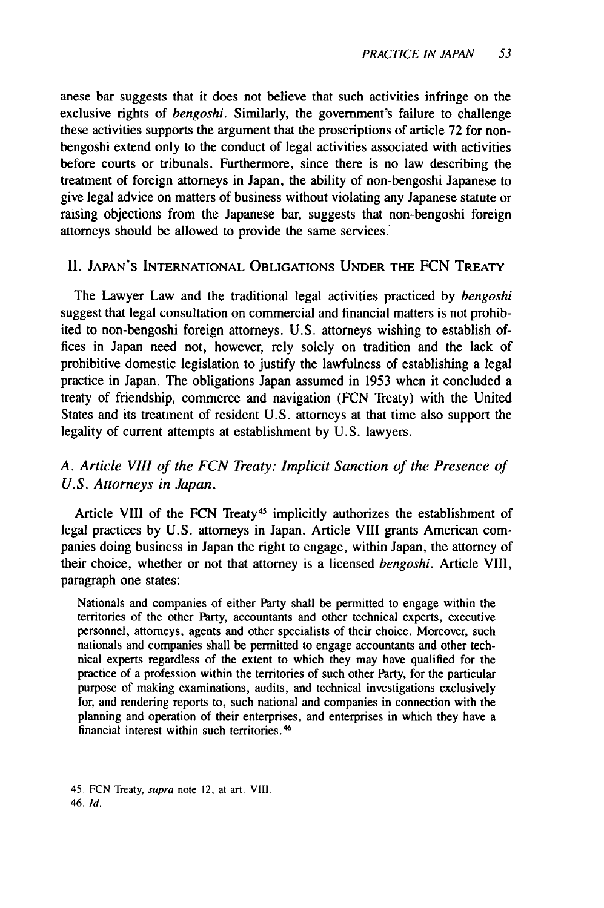anese bar suggests that it does not believe that such activities infringe on the exclusive rights of *bengoshi.* Similarly, the government's failure to challenge these activities supports the argument that the proscriptions of article 72 for nonbengoshi extend only to the conduct of legal activities associated with activities before courts or tribunals. Furthermore, since there is no law describing the treatment of foreign attorneys in Japan, the ability of non-bengoshi Japanese to give legal advice on matters of business without violating any Japanese statute or raising objections from the Japanese bar, suggests that non-bengoshi foreign attorneys should be allowed to provide the same services.

#### II. **JAPAN'S INTERNATIONAL OBLIGATIONS UNDER** THE FCN TREATY

The Lawyer Law and the traditional legal activities practiced by *bengoshi* suggest that legal consultation on commercial and financial matters is not prohibited to non-bengoshi foreign attorneys. U.S. attorneys wishing to establish offices in Japan need not, however, rely solely on tradition and the lack of prohibitive domestic legislation to justify the lawfulness of establishing a legal practice in Japan. The obligations Japan assumed in 1953 when it concluded a treaty of friendship, commerce and navigation (FCN Treaty) with the United States and its treatment of resident U.S. attorneys at that time also support the legality of current attempts at establishment by U.S. lawyers.

## *A. Article VIII of the FCN Treaty: Implicit Sanction of the Presence of U.S. Attorneys in Japan.*

Article VIII of the FCN Treaty<sup>45</sup> implicitly authorizes the establishment of legal practices by U.S. attorneys in Japan. Article VIII grants American companies doing business in Japan the right to engage, within Japan, the attorney of their choice, whether or not that attorney is a licensed *bengoshi.* Article VIII, paragraph one states:

Nationals and companies of either Party shall be permitted to engage within the territories of the other Party, accountants and other technical experts, executive personnel, attorneys, agents and other specialists of their choice. Moreover, such nationals and companies shall be permitted to engage accountants and other technical experts regardless of the extent to which they may have qualified for the practice of a profession within the territories of such other Party, for the particular purpose of making examinations, audits, and technical investigations exclusively for, and rendering reports to, such national and companies in connection with the planning and operation of their enterprises, and enterprises in which they have a financial interest within such territories.<sup>46</sup>

<sup>45.</sup> **FCN** Treaty, supra note **12,** at art. **VIII.** 46. *Id.*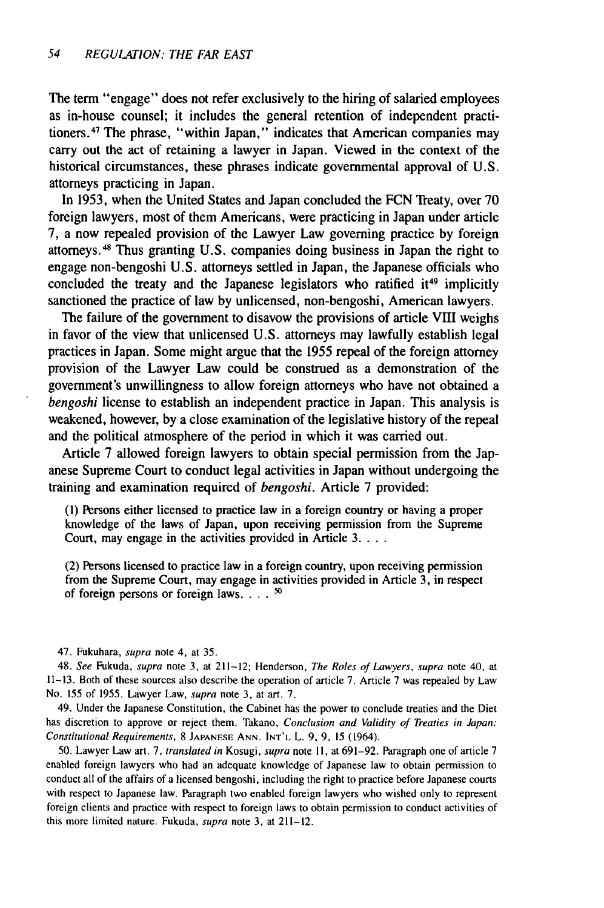The term "engage" does not refer exclusively to the hiring of salaried employees as in-house counsel; it includes the general retention of independent practitioners. 47 The phrase, "within Japan," indicates that American companies may carry out the act of retaining a lawyer in Japan. Viewed in the context of the historical circumstances, these phrases indicate governmental approval of U.S. attorneys practicing in Japan.

In 1953, when the United States and Japan concluded the FCN Treaty, over 70 foreign lawyers, most of them Americans, were practicing in Japan under article 7, a now repealed provision of the Lawyer Law governing practice by foreign attorneys. 48 Thus granting U.S. companies doing business in Japan the right to engage non-bengoshi U.S. attorneys settled in Japan, the Japanese officials who concluded the treaty and the Japanese legislators who ratified it<sup>49</sup> implicitly sanctioned the practice of law by unlicensed, non-bengoshi, American lawyers.

The failure of the government to disavow the provisions of article VIII weighs in favor of the view that unlicensed U.S. attorneys may lawfully establish legal practices in Japan. Some might argue that the 1955 repeal of the foreign attorney provision of the Lawyer Law could be construed as a demonstration of the government's unwillingness to allow foreign attorneys who have not obtained a *bengoshi* license to establish an independent practice in Japan. This analysis is weakened, however, by a close examination of the legislative history of the repeal and the political atmosphere of the period in which it was carried out.

Article 7 allowed foreign lawyers to obtain special permission from the Japanese Supreme Court to conduct legal activities in Japan without undergoing the training and examination required of *bengoshi.* Article 7 provided:

**(1)** Persons either licensed to practice law in a foreign country or having a proper knowledge of the laws of Japan, upon receiving permission from the Supreme Court, may engage in the activities provided in Article 3....

(2) Persons licensed to practice law in a foreign country, upon receiving permission from the Supreme Court, may engage in activities provided in Article 3, in respect of foreign persons or foreign laws **....**

47. Fukuhara, supra note 4, at 35.

48. See Fukuda, supra note 3, at 211-12; Henderson, The Roles of Lawyers, supra note 40, at 11-13. Both of these sources also describe the operation of article 7. Article 7 was repealed by Law No. 155 of 1955. Lawyer Law, supra note 3, at art. 7.

49. Under the Japanese Constitution, the Cabinet has the power to conclude treaties and the Diet has discretion to approve or reject them. Takano, Conclusion and Validity of Treaties in Japan: Constitutional Requirements, 8 **JAPANESE** ANN. INT'L L. 9, 9, 15 (1964).

50. Lawyer Law art. 7, translated in Kosugi, supra note **11,** at 691-92. Paragraph one of article 7 enabled foreign lawyers who had an adequate knowledge of Japanese law to obtain permission to conduct all of the affairs of a licensed bengoshi, including the right to practice before Japanese courts with respect to Japanese law. Paragraph two enabled foreign lawyers who wished only to represent foreign clients and practice with respect to foreign laws to obtain permission to conduct activities of this more limited nature. Fukuda, supra note 3, at 211-12.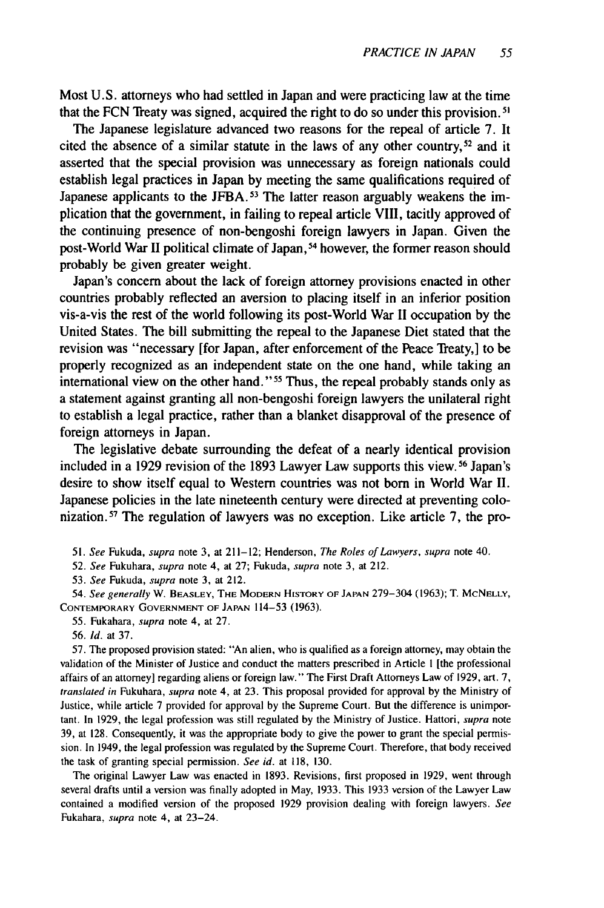Most U.S. attorneys who had settled in Japan and were practicing law at the time that the FCN Treaty was signed, acquired the right to do so under this provision. 5'

The Japanese legislature advanced two reasons for the repeal of article 7. It cited the absence of a similar statute in the laws of any other country,<sup>52</sup> and it asserted that the special provision was unnecessary as foreign nationals could establish legal practices in Japan by meeting the same qualifications required of Japanese applicants to the JFBA.<sup>53</sup> The latter reason arguably weakens the implication that the government, in failing to repeal article VIII, tacitly approved of the continuing presence of non-bengoshi foreign lawyers in Japan. Given the post-World War II political climate of Japan, 54 however, the former reason should probably be given greater weight.

Japan's concern about the lack of foreign attorney provisions enacted in other countries probably reflected an aversion to placing itself in an inferior position vis-a-vis the rest of the world following its post-World War II occupation by the United States. The bill submitting the repeal to the Japanese Diet stated that the revision was "necessary [for Japan, after enforcement of the Peace Treaty,] to be properly recognized as an independent state on the one hand, while taking an international view on the other hand." 55 Thus, the repeal probably stands only as a statement against granting all non-bengoshi foreign lawyers the unilateral right to establish a legal practice, rather than a blanket disapproval of the presence of foreign attorneys in Japan.

The legislative debate surrounding the defeat of a nearly identical provision included in a 1929 revision of the 1893 Lawyer Law supports this view. 56 Japan's desire to show itself equal to Western countries was not born in World War II. Japanese policies in the late nineteenth century were directed at preventing colonization.<sup>57</sup> The regulation of lawyers was no exception. Like article 7, the pro-

51. See Fukuda, supra note 3, at 211-12; Henderson, The Roles of Lawyers, supra note 40.

52. See Fukuhara, supra note 4, at 27; Fukuda, supra note 3, at 212.

53. See Fukuda, supra note 3, at 212.

54. See generally W. **BEASLEY,** THE MODERN HISTORY OF **JAPAN** 279-304 (1963); T. MCNELLY, CONTEMPORARY **GOVERNMENT** OF **JAPAN** 114-53 (1963).

55. Fukahara, supra note 4, at 27.

57. The proposed provision stated: "An alien, who is qualified as a foreign attorney, may obtain the validation of the Minister of Justice and conduct the matters prescribed in Article I [the professional affairs of an attorney] regarding aliens or foreign law." The First Draft Attorneys Law of 1929, art. **7,** translated in Fukuhara, supra note 4, at 23. This proposal provided for approval by the Ministry of Justice, while article 7 provided for approval by the Supreme Court. But the difference is unimportant. In 1929, the legal profession was still regulated by the Ministry of Justice. Hattori, supra note 39, at 128. Consequently, it was the appropriate body to give the power to grant the special permission. In 1949, the legal profession was regulated by the Supreme Court. Therefore, that body received the task of granting special permission. *See id.* at **118,** 130.

The original Lawyer Law was enacted in 1893. Revisions, first proposed in 1929, went through several drafts until a version was finally adopted in May, 1933. This 1933 version of the Lawyer Law contained a modified version of the proposed 1929 provision dealing with foreign lawyers. *See* Fukahara, supra note 4, at 23-24.

<sup>56.</sup> *Id.* at 37.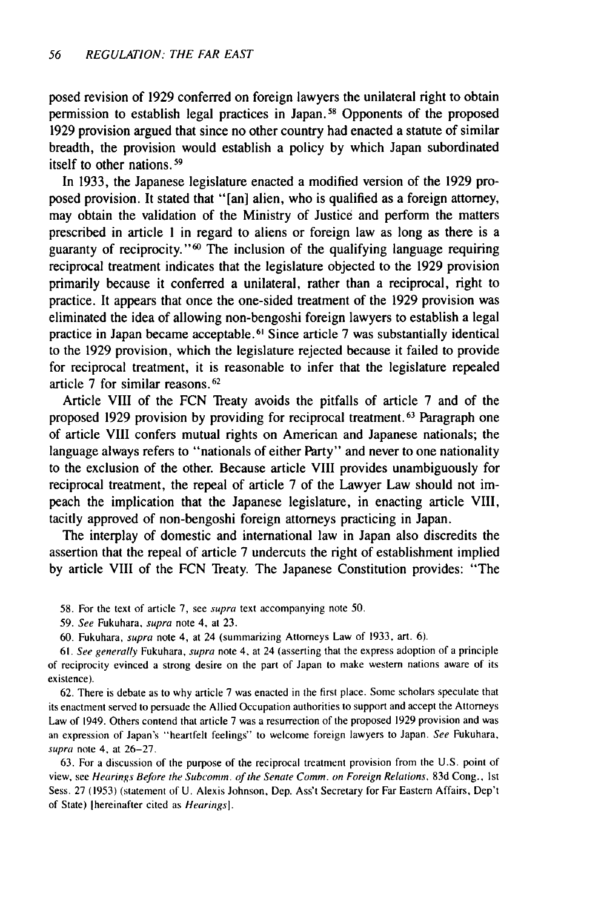posed revision of 1929 conferred on foreign lawyers the unilateral right to obtain permission to establish legal practices in Japan.58 Opponents of the proposed 1929 provision argued that since no other country had enacted a statute of similar breadth, the provision would establish a policy by which Japan subordinated itself to other nations.<sup>59</sup>

In 1933, the Japanese legislature enacted a modified version of the 1929 proposed provision. It stated that "[an] alien, who is qualified as a foreign attorney, may obtain the validation of the Ministry of Justice and perform the matters prescribed in article 1 in regard to aliens or foreign law as long as there is a guaranty of reciprocity."<sup>60</sup> The inclusion of the qualifying language requiring reciprocal treatment indicates that the legislature objected to the 1929 provision primarily because it conferred a unilateral, rather than a reciprocal, right to practice. It appears that once the one-sided treatment of the 1929 provision was eliminated the idea of allowing non-bengoshi foreign lawyers to establish a legal practice in Japan became acceptable. 61 Since article 7 was substantially identical to the 1929 provision, which the legislature rejected because it failed to provide for reciprocal treatment, it is reasonable to infer that the legislature repealed article 7 for similar reasons.<sup>62</sup>

Article VIII of the FCN Treaty avoids the pitfalls of article 7 and of the proposed 1929 provision by providing for reciprocal treatment. **63** Paragraph one of article VIII confers mutual rights on American and Japanese nationals; the language always refers to "nationals of either Party" and never to one nationality to the exclusion of the other. Because article VIII provides unambiguously for reciprocal treatment, the repeal of article 7 of the Lawyer Law should not impeach the implication that the Japanese legislature, in enacting article VIII, tacitly approved of non-bengoshi foreign attorneys practicing in Japan.

The interplay of domestic and international law in Japan also discredits the assertion that the repeal of article 7 undercuts the right of establishment implied by article VIII of the FCN Treaty. The Japanese Constitution provides: "The

- 58. For the text of article 7, see supra text accompanying note 50.
- 59. See Fukuhara, supra note 4, at 23.
- 60. Fukuhara, supra note 4, at 24 (summarizing Attorneys Law of 1933, art. 6).

61. See generally Fukuhara, supra note 4. at 24 (asserting that the express adoption of a principle of reciprocity evinced a strong desire on the part of Japan to make western nations aware of its existence).

62. There is debate as to why article 7 was enacted in the first place. Some scholars speculate that its enactment served to persuade the Allied Occupation authorities to support and accept the Attorneys Law of 1949. Others contend that article 7 was a resurrection of the proposed 1929 provision and was an expression of Japan's "heartfelt feelings" to welcome foreign lawyers to Japan. See Fukuhara, supra note 4, at 26-27.

63. For a discussion of the purpose of the reciprocal treatment provision from the U.S. point of view, see Hearings Before the Subcomm. of the Senate Comm. on Foreign Relations, 83d Cong., 1st Sess. 27 (1953) (statement of U. Alexis Johnson, Dep. Ass't Secretary for Far Eastern Affairs, Dep't of State) [hereinafter cited as Hearings].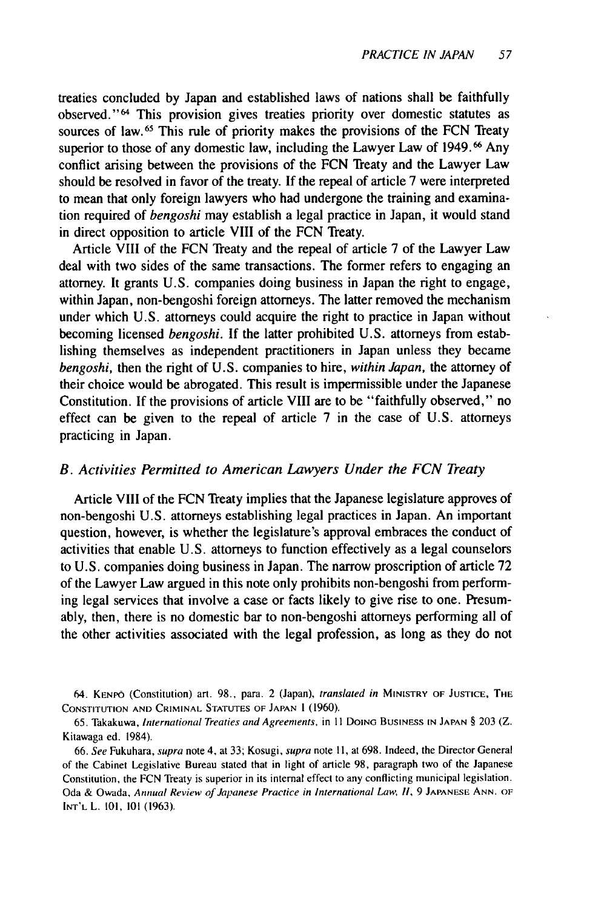treaties concluded **by** Japan and established laws of nations shall be faithfully observed."<sup>64</sup> This provision gives treaties priority over domestic statutes as sources of law.<sup>65</sup> This rule of priority makes the provisions of the FCN Treaty superior to those of any domestic law, including the Lawyer Law of 1949.<sup>66</sup> Any conflict arising between the provisions of the FCN Treaty and the Lawyer Law should be resolved in favor of the treaty. If the repeal of article 7 were interpreted to mean that only foreign lawyers who had undergone the training and examination required of *bengoshi* may establish a legal practice in Japan, it would stand in direct opposition to article VIII of the FCN Treaty.

Article VIII of the FCN Treaty and the repeal of article 7 of the Lawyer Law deal with two sides of the same transactions. The former refers to engaging an attorney. It grants U.S. companies doing business in Japan the right to engage, within Japan, non-bengoshi foreign attorneys. The latter removed the mechanism under which U.S. attorneys could acquire the right to practice in Japan without becoming licensed *bengoshi.* If the latter prohibited U.S. attorneys from establishing themselves as independent practitioners in Japan unless they became *bengoshi,* then the right of U.S. companies to hire, *within Japan,* the attorney of their choice would be abrogated. This result is impermissible under the Japanese Constitution. If the provisions of article VIII are to be "faithfully observed," no effect can be given to the repeal of article 7 in the case of U.S. attorneys practicing in Japan.

#### *B. Activities Permitted to American Lawyers Under the FCN Treaty*

Article VIII of the FCN Treaty implies that the Japanese legislature approves of non-bengoshi U.S. attorneys establishing legal practices in Japan. An important question, however, is whether the legislature's approval embraces the conduct of activities that enable U.S. attorneys to function effectively as a legal counselors to U.S. companies doing business in Japan. The narrow proscription of article 72 of the Lawyer Law argued in this note only prohibits non-bengoshi from performing legal services that involve a case or facts likely to give rise to one. Presumably, then, there is no domestic bar to non-bengoshi attorneys performing all of the other activities associated with the legal profession, as long as they do not

64. **KENPO** (Constitution) art. 98., para. 2 (Japan), translated *in* MINISTRY OF **JUSTICE,** THE **CONSTITUTION AND** CRIMINAL **STATUTES OF JAPAN** I (1960).

65. Takakuwa, International Treaties and Agreements, in **II** DOING **BUSINESS IN JAPAN** § 203 (Z. Kitawaga ed. 1984).

66. See Fukuhara, supra note 4, at 33; Kosugi, supra note **I1,** at 698. Indeed, the Director General of the Cabinet Legislative Bureau stated that in light of article 98, paragraph two of the Japanese Constitution, the FCN Treaty is superior in its internal effect to any conflicting municipal legislation. Oda & Owada, Annual Review of Japanese Practice in International Law, **II,** 9 **JAPANESE ANN.** OF **INT'L** L. 101, 101 (1963).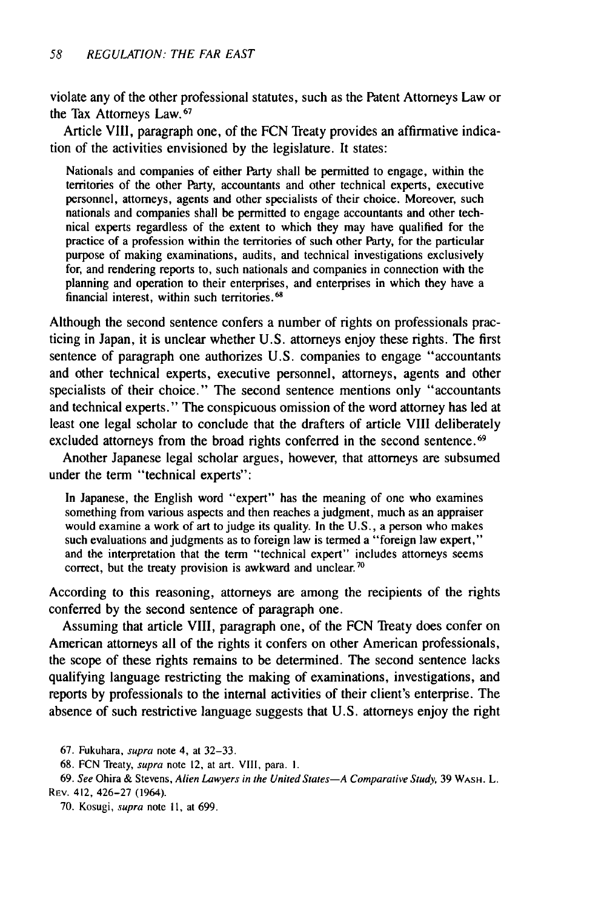violate any of the other professional statutes, such as the Patent Attorneys Law or the Tax Attorneys Law. **<sup>67</sup>**

Article VIII, paragraph one, of the FCN Treaty provides an affirmative indication of the activities envisioned by the legislature. It states:

Nationals and companies of either Party shall be permitted to engage, within the territories of the other Party, accountants and other technical experts, executive personnel, attorneys, agents and other specialists of their choice. Moreover, such nationals and companies shall be permitted to engage accountants and other technical experts regardless of the extent to which they may have qualified for the practice of a profession within the territories of such other Party, for the particular purpose of making examinations, audits, and technical investigations exclusively for, and rendering reports to, such nationals and companies in connection with the planning and operation to their enterprises, and enterprises in which they have a financial interest, within such territories.<sup>68</sup>

Although the second sentence confers a number of rights on professionals practicing in Japan, it is unclear whether U.S. attorneys enjoy these rights. The first sentence of paragraph one authorizes U.S. companies to engage "accountants and other technical experts, executive personnel, attorneys, agents and other specialists of their choice." The second sentence mentions only "accountants and technical experts." The conspicuous omission of the word attorney has led at least one legal scholar to conclude that the drafters of article VIII deliberately excluded attorneys from the broad rights conferred in the second sentence.<sup>69</sup>

Another Japanese legal scholar argues, however, that attorneys are subsumed under the term "technical experts":

In Japanese, the English word "expert" has the meaning of one who examines something from various aspects and then reaches a judgment, much as an appraiser would examine a work of art to judge its quality. In the U.S., a person who makes such evaluations and judgments as to foreign law is termed a "foreign law expert," and the interpretation that the term "technical expert" includes attorneys seems correct, but the treaty provision is awkward and unclear. **7**

According to this reasoning, attorneys are among the recipients of the rights conferred by the second sentence of paragraph one.

Assuming that article VIII, paragraph one, of the FCN Treaty does confer on American attorneys all of the rights it confers on other American professionals, the scope of these rights remains to be determined. The second sentence lacks qualifying language restricting the making of examinations, investigations, and reports by professionals to the internal activities of their client's enterprise. The absence of such restrictive language suggests that U.S. attorneys enjoy the right

67. Fukuhara, supra note 4, at 32-33.

68. FCN Treaty, supra note 12, at art. VIII, para. **1.**

69. See Ohira & Stevens, Alien Lawyers in the United States-A Comparative Study, 39 WASH. L. REv. 412, 426-27 (1964).

70. Kosugi, supra note **11,** at 699.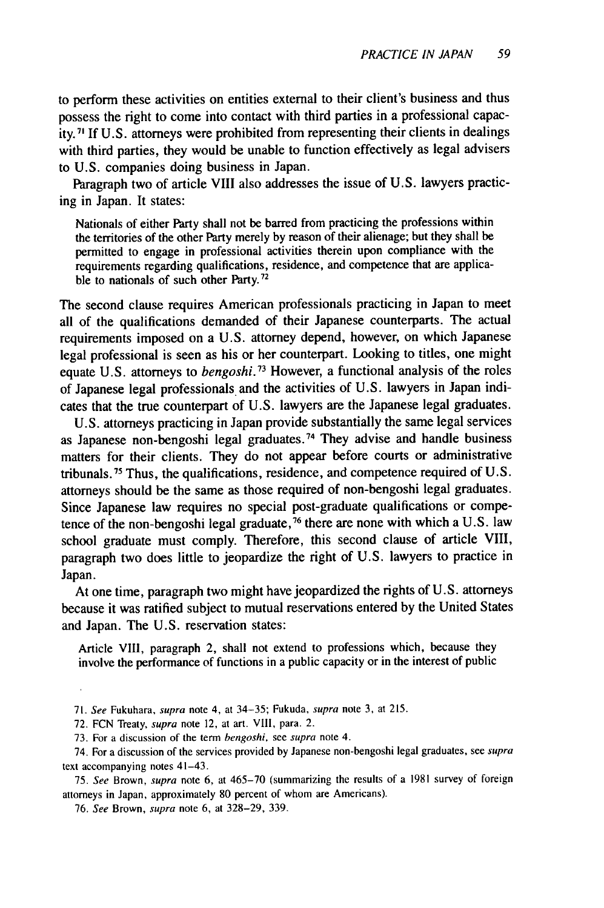to perform these activities on entities external to their client's business and thus possess the right to come into contact with third parties in a professional capacity. **71** If U.S. attorneys were prohibited from representing their clients in dealings with third parties, they would be unable to function effectively as legal advisers to U.S. companies doing business in Japan.

Paragraph two of article VIII also addresses the issue of U.S. lawyers practicing in Japan. It states:

Nationals of either Party shall not be barred from practicing the professions within the territories of the other Party merely by reason of their alienage; but they shall be permitted to engage in professional activities therein upon compliance with the requirements regarding qualifications, residence, and competence that are applicable to nationals of such other Party.<sup>72</sup>

The second clause requires American professionals practicing in Japan to meet all of the qualifications demanded of their Japanese counterparts. The actual requirements imposed on a U.S. attorney depend, however, on which Japanese legal professional is seen as his or her counterpart. Looking to titles, one might equate U.S. attorneys to *bengoshi.73* However, a functional analysis of the roles of Japanese legal professionals and the activities of U.S. lawyers in Japan indicates that the true counterpart of U.S. lawyers are the Japanese legal graduates.

U.S. attorneys practicing in Japan provide substantially the same legal services as Japanese non-bengoshi legal graduates. 74 They advise and handle business matters for their clients. They do not appear before courts or administrative tribunals.<sup>75</sup> Thus, the qualifications, residence, and competence required of U.S. attorneys should be the same as those required of non-bengoshi legal graduates. Since Japanese law requires no special post-graduate qualifications or competence of the non-bengoshi legal graduate, 76 there are none with which a U.S. law school graduate must comply. Therefore, this second clause of article VIII, paragraph two does little to jeopardize the right of U.S. lawyers to practice in Japan.

At one time, paragraph two might have jeopardized the rights of U.S. attorneys because it was ratified subject to mutual reservations entered by the United States and Japan. The U.S. reservation states:

Article VIII, paragraph 2, shall not extend to professions which, because they involve the performance of functions in a public capacity or in the interest of public

75. See Brown, supra note **6,** at 465-70 (summarizing the results of a 1981 survey of foreign attorneys in Japan, approximately 80 percent of whom are Americans).

76. See Brown, supra note 6, at 328-29, 339.

<sup>71.</sup> See Fukuhara, supra note 4, at 34-35; Fukuda, supra note 3, at 215.

<sup>72.</sup> FCN Treaty, supra note 12, at art. VIII, para. 2.

<sup>73.</sup> For a discussion of the term bengoshi, see supra note 4.

<sup>74.</sup> For a discussion of the services provided by Japanese non-bengoshi legal graduates, see supra text accompanying notes 41-43.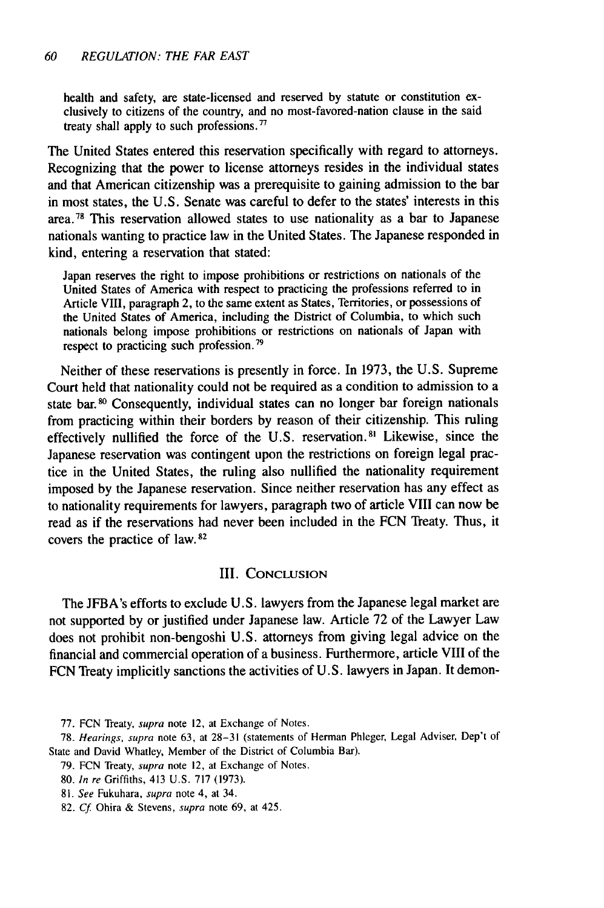health and safety, are state-licensed and reserved **by** statute or constitution exclusively to citizens of the country, and no most-favored-nation clause in the said treaty shall apply to such professions.<sup>77</sup>

The United States entered this reservation specifically with regard to attorneys. Recognizing that the power to license attorneys resides in the individual states and that American citizenship was a prerequisite to gaining admission to the bar in most states, the **U.S.** Senate was careful to defer to the states' interests in this area.<sup>78</sup> This reservation allowed states to use nationality as a bar to Japanese nationals wanting to practice law in the United States. The Japanese responded in kind, entering a reservation that stated:

Japan reserves the right to impose prohibitions or restrictions on nationals of the United States of America with respect to practicing the professions referred to in Article VIII, paragraph 2, to the same extent as States, Territories, or possessions of the United States of America, including the District of Columbia, to which such nationals belong impose prohibitions or restrictions on nationals of Japan with respect to practicing such profession. **79**

Neither of these reservations is presently in force. In **1973,** the **U.S.** Supreme Court held that nationality could not be required as a condition to admission to a state bar. **0** Consequently, individual states can no longer bar foreign nationals from practicing within their borders **by** reason of their citizenship. This ruling effectively nullified the force of the U.S. reservation.<sup>81</sup> Likewise, since the Japanese reservation was contingent upon the restrictions on foreign legal practice in the United States, the ruling also nullified the nationality requirement imposed **by** the Japanese reservation. Since neither reservation has any effect as to nationality requirements for lawyers, paragraph two of article VIII can now be read as if the reservations had never been included in the **FCN** Treaty. Thus, it covers the practice of law. **82**

#### **III. CONCLUSION**

The JFBA's efforts to exclude **U.S.** lawyers from the Japanese legal market are not supported **by** or justified under Japanese law. Article **72** of the Lawyer Law does not prohibit non-bengoshi **U.S.** attorneys from giving legal advice on the financial and commercial operation of a business. Furthermore, article VIII of the **FCN** Treaty implicitly sanctions the activities of **U.S.** lawyers in Japan. It demon-

- **79. FCN** Treaty, supra note 12, at Exchange of Notes.
- **80.** *In re* Griffiths, 413 **U.S. 717 (1973).**
- **81.** *See* Fukuhara, supra note 4, at 34.
- **82.** *Cf* Ohira **&** Stevens, **supra** note **69,** at 425.

**<sup>77.</sup> FCN** Treaty, supra note 12, at Exchange of Notes.

**<sup>78.</sup>** *Hearings,* supra note **63,** at **28-31** (statements of Herman Phleger, Legal Adviser, Dep't of State and David Whatley, Member of the District of Columbia Bar).